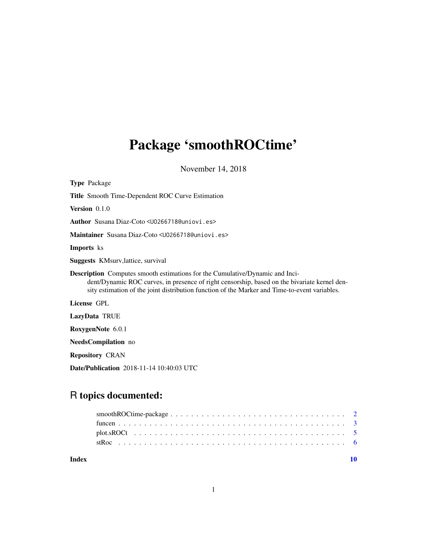# <span id="page-0-0"></span>Package 'smoothROCtime'

November 14, 2018

| <b>Type Package</b>                                                                                                                                                                                                                                                                  |
|--------------------------------------------------------------------------------------------------------------------------------------------------------------------------------------------------------------------------------------------------------------------------------------|
| <b>Title Smooth Time-Dependent ROC Curve Estimation</b>                                                                                                                                                                                                                              |
| <b>Version</b> $0.1.0$                                                                                                                                                                                                                                                               |
| <b>Author</b> Susana Diaz-Coto <00266718@uniovi.es>                                                                                                                                                                                                                                  |
| Maintainer Susana Diaz-Coto <00266718@uniovi.es>                                                                                                                                                                                                                                     |
| <b>Imports</b> ks                                                                                                                                                                                                                                                                    |
| <b>Suggests</b> KMsurv, lattice, survival                                                                                                                                                                                                                                            |
| <b>Description</b> Computes smooth estimations for the Cumulative/Dynamic and Inci-<br>dent/Dynamic ROC curves, in presence of right censorship, based on the bivariate kernel den-<br>sity estimation of the joint distribution function of the Marker and Time-to-event variables. |
| License GPL                                                                                                                                                                                                                                                                          |
| LazyData TRUE                                                                                                                                                                                                                                                                        |
| RoxygenNote 6.0.1                                                                                                                                                                                                                                                                    |
| NeedsCompilation no                                                                                                                                                                                                                                                                  |
| <b>Repository CRAN</b>                                                                                                                                                                                                                                                               |

Date/Publication 2018-11-14 10:40:03 UTC

# R topics documented:

| Index |  |  |  |  |  |  |  |  |  |  |  |  |  |  |  |  |  |  |
|-------|--|--|--|--|--|--|--|--|--|--|--|--|--|--|--|--|--|--|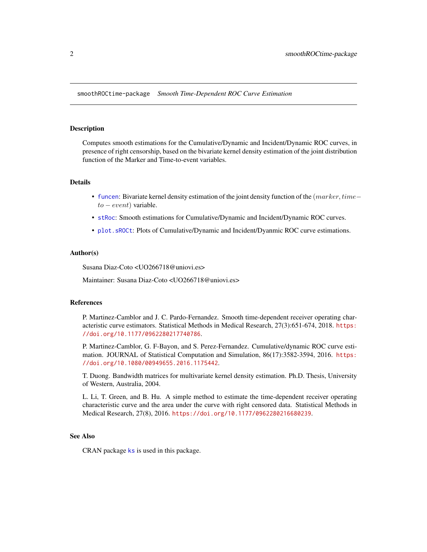<span id="page-1-0"></span>smoothROCtime-package *Smooth Time-Dependent ROC Curve Estimation*

#### **Description**

Computes smooth estimations for the Cumulative/Dynamic and Incident/Dynamic ROC curves, in presence of right censorship, based on the bivariate kernel density estimation of the joint distribution function of the Marker and Time-to-event variables.

#### Details

- [funcen](#page-2-1): Bivariate kernel density estimation of the joint density function of the (marker, time−  $to - event)$  variable.
- [stRoc](#page-5-1): Smooth estimations for Cumulative/Dynamic and Incident/Dynamic ROC curves.
- [plot.sROCt](#page-4-1): Plots of Cumulative/Dynamic and Incident/Dyanmic ROC curve estimations.

#### Author(s)

Susana Diaz-Coto <UO266718@uniovi.es>

Maintainer: Susana Diaz-Coto <UO266718@uniovi.es>

#### References

P. Martinez-Camblor and J. C. Pardo-Fernandez. Smooth time-dependent receiver operating characteristic curve estimators. Statistical Methods in Medical Research, 27(3):651-674, 2018. [https:](https://doi.org/10.1177/0962280217740786) [//doi.org/10.1177/0962280217740786](https://doi.org/10.1177/0962280217740786).

P. Martinez-Camblor, G. F-Bayon, and S. Perez-Fernandez. Cumulative/dynamic ROC curve estimation. JOURNAL of Statistical Computation and Simulation, 86(17):3582-3594, 2016. [https:](https://doi.org/10.1080/00949655.2016.1175442) [//doi.org/10.1080/00949655.2016.1175442](https://doi.org/10.1080/00949655.2016.1175442).

T. Duong. Bandwidth matrices for multivariate kernel density estimation. Ph.D. Thesis, University of Western, Australia, 2004.

L. Li, T. Green, and B. Hu. A simple method to estimate the time-dependent receiver operating characteristic curve and the area under the curve with right censored data. Statistical Methods in Medical Research, 27(8), 2016. <https://doi.org/10.1177/0962280216680239>.

#### See Also

CRAN package [ks](#page-0-0) is used in this package.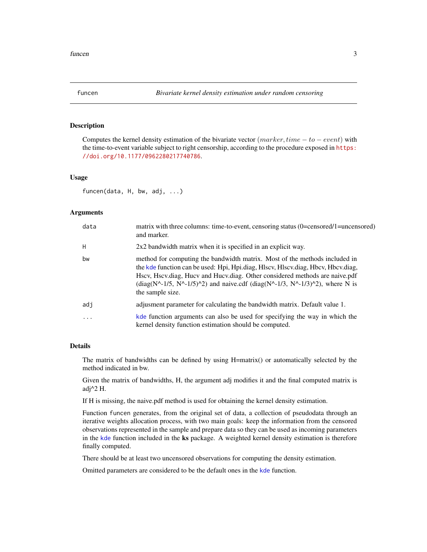#### <span id="page-2-1"></span><span id="page-2-0"></span>Description

Computes the kernel density estimation of the bivariate vector (marker, time  $-$  to  $-$  event) with the time-to-event variable subject to right censorship, according to the procedure exposed in [https:](https://doi.org/10.1177/0962280217740786) [//doi.org/10.1177/0962280217740786](https://doi.org/10.1177/0962280217740786).

#### Usage

funcen(data, H, bw, adj, ...)

#### Arguments

| data      | matrix with three columns: time-to-event, censoring status (0=censored)1=uncensored)<br>and marker.                                                                                                                                                                                                                                                                                                                 |
|-----------|---------------------------------------------------------------------------------------------------------------------------------------------------------------------------------------------------------------------------------------------------------------------------------------------------------------------------------------------------------------------------------------------------------------------|
| H         | 2x2 bandwidth matrix when it is specified in an explicit way.                                                                                                                                                                                                                                                                                                                                                       |
| bw        | method for computing the bandwidth matrix. Most of the methods included in<br>the kde function can be used: Hpi, Hpi.diag, Hlscv, Hlscv.diag, Hbcv, Hbcv.diag,<br>Hscv, Hscv.diag, Hucv and Hucv.diag. Other considered methods are naive.pdf<br>$(\text{diag}(N^{\wedge}-1/5, N^{\wedge}-1/5)^{\wedge}2)$ and naive.cdf $(\text{diag}(N^{\wedge}-1/3, N^{\wedge}-1/3)^{\wedge}2)$ , where N is<br>the sample size. |
| adi       | adjusment parameter for calculating the bandwidth matrix. Default value 1.                                                                                                                                                                                                                                                                                                                                          |
| $\ddotsc$ | kde function arguments can also be used for specifying the way in which the<br>kernel density function estimation should be computed.                                                                                                                                                                                                                                                                               |

#### Details

The matrix of bandwidths can be defined by using H=matrix() or automatically selected by the method indicated in bw.

Given the matrix of bandwidths, H, the argument adj modifies it and the final computed matrix is adj^2 H.

If H is missing, the naive.pdf method is used for obtaining the kernel density estimation.

Function funcen generates, from the original set of data, a collection of pseudodata through an iterative weights allocation process, with two main goals: keep the information from the censored observations represented in the sample and prepare data so they can be used as incoming parameters in the [kde](#page-0-0) function included in the ks package. A weighted kernel density estimation is therefore finally computed.

There should be at least two uncensored observations for computing the density estimation.

Omitted parameters are considered to be the default ones in the [kde](#page-0-0) function.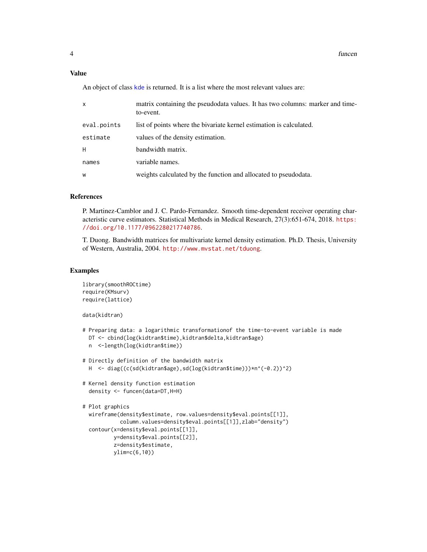#### <span id="page-3-0"></span>Value

An object of class [kde](#page-0-0) is returned. It is a list where the most relevant values are:

| $\mathsf{x}$ | matrix containing the pseudodata values. It has two columns: marker and time-<br>to-event. |
|--------------|--------------------------------------------------------------------------------------------|
| eval.points  | list of points where the bivariate kernel estimation is calculated.                        |
| estimate     | values of the density estimation.                                                          |
| H            | bandwidth matrix.                                                                          |
| names        | variable names.                                                                            |
| W            | weights calculated by the function and allocated to pseudodata.                            |

#### References

P. Martinez-Camblor and J. C. Pardo-Fernandez. Smooth time-dependent receiver operating characteristic curve estimators. Statistical Methods in Medical Research, 27(3):651-674, 2018. [https:](https://doi.org/10.1177/0962280217740786) [//doi.org/10.1177/0962280217740786](https://doi.org/10.1177/0962280217740786).

T. Duong. Bandwidth matrices for multivariate kernel density estimation. Ph.D. Thesis, University of Western, Australia, 2004. <http://www.mvstat.net/tduong>.

#### Examples

```
library(smoothROCtime)
require(KMsurv)
require(lattice)
```
data(kidtran)

```
# Preparing data: a logarithmic transformationof the time-to-event variable is made
 DT <- cbind(log(kidtran$time),kidtran$delta,kidtran$age)
 n <-length(log(kidtran$time))
```

```
# Directly definition of the bandwidth matrix
 H <- diag((c(sd(kidtran$age),sd(log(kidtran$time)))*n^(-0.2))^2)
```
# Kernel density function estimation density <- funcen(data=DT,H=H)

```
# Plot graphics
```

```
wireframe(density$estimate, row.values=density$eval.points[[1]],
          column.values=density$eval.points[[1]],zlab="density")
contour(x=density$eval.points[[1]],
        y=density$eval.points[[2]],
        z=density$estimate,
        ylim=c(6,10))
```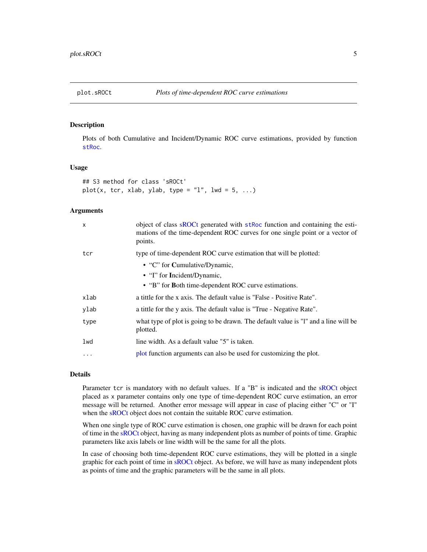<span id="page-4-1"></span><span id="page-4-0"></span>

#### Description

Plots of both Cumulative and Incident/Dynamic ROC curve estimations, provided by function [stRoc](#page-5-1).

#### Usage

```
## S3 method for class 'sROCt'
plot(x, tcr, xlab, ylab, type = "l", lwd = 5, ...)
```
# Arguments

| $\times$ | object of class sROCt generated with stRoc function and containing the esti-<br>mations of the time-dependent ROC curves for one single point or a vector of<br>points. |
|----------|-------------------------------------------------------------------------------------------------------------------------------------------------------------------------|
| tcr      | type of time-dependent ROC curve estimation that will be plotted:                                                                                                       |
|          | • "C" for Cumulative/Dynamic,                                                                                                                                           |
|          | • "I" for Incident/Dynamic,                                                                                                                                             |
|          | • "B" for Both time-dependent ROC curve estimations.                                                                                                                    |
| xlab     | a tittle for the x axis. The default value is "False - Positive Rate".                                                                                                  |
| ylab     | a tittle for the y axis. The default value is "True - Negative Rate".                                                                                                   |
| type     | what type of plot is going to be drawn. The default value is "I" and a line will be<br>plotted.                                                                         |
| lwd      | line width. As a default value "5" is taken.                                                                                                                            |
| $\cdots$ | plot function arguments can also be used for customizing the plot.                                                                                                      |

### Details

Parameter tcr is mandatory with no default values. If a "B" is indicated and the [sROCt](#page-5-1) object placed as x parameter contains only one type of time-dependent ROC curve estimation, an error message will be returned. Another error message will appear in case of placing either "C" or "I" when the [sROCt](#page-5-1) object does not contain the suitable ROC curve estimation.

When one single type of ROC curve estimation is chosen, one graphic will be drawn for each point of time in the [sROCt](#page-5-1) object, having as many independent plots as number of points of time. Graphic parameters like axis labels or line width will be the same for all the plots.

In case of choosing both time-dependent ROC curve estimations, they will be plotted in a single graphic for each point of time in [sROCt](#page-5-1) object. As before, we will have as many independent plots as points of time and the graphic parameters will be the same in all plots.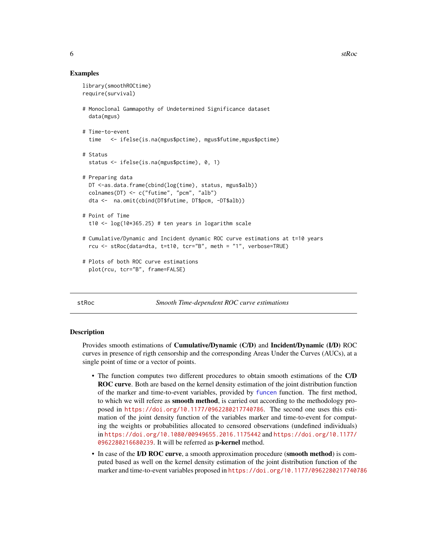#### Examples

```
library(smoothROCtime)
require(survival)
# Monoclonal Gammapothy of Undetermined Significance dataset
 data(mgus)
# Time-to-event
 time <- ifelse(is.na(mgus$pctime), mgus$futime,mgus$pctime)
# Status
 status <- ifelse(is.na(mgus$pctime), 0, 1)
# Preparing data
 DT <-as.data.frame(cbind(log(time), status, mgus$alb))
 colnames(DT) <- c("futime", "pcm", "alb")
 dta <- na.omit(cbind(DT$futime, DT$pcm, -DT$alb))
# Point of Time
 t10 \leftarrow log(10*365.25) # ten years in logarithm scale
# Cumulative/Dynamic and Incident dynamic ROC curve estimations at t=10 years
  rcu <- stRoc(data=dta, t=t10, tcr="B", meth = "1", verbose=TRUE)
# Plots of both ROC curve estimations
 plot(rcu, tcr="B", frame=FALSE)
```
<span id="page-5-1"></span>stRoc *Smooth Time-dependent ROC curve estimations*

#### Description

Provides smooth estimations of Cumulative/Dynamic (C/D) and Incident/Dynamic (I/D) ROC curves in presence of rigth censorship and the corresponding Areas Under the Curves (AUCs), at a single point of time or a vector of points.

- The function computes two different procedures to obtain smooth estimations of the C/D ROC curve. Both are based on the kernel density estimation of the joint distribution function of the marker and time-to-event variables, provided by [funcen](#page-2-1) function. The first method, to which we will refere as **smooth method**, is carried out according to the methodology proposed in <https://doi.org/10.1177/0962280217740786>. The second one uses this estimation of the joint density function of the variables marker and time-to-event for computing the weights or probabilities allocated to censored observations (undefined individuals) in <https://doi.org/10.1080/00949655.2016.1175442> and [https://doi.org/10.1177/](https://doi.org/10.1177/0962280216680239) [0962280216680239](https://doi.org/10.1177/0962280216680239). It will be referred as p-kernel method.
- In case of the I/D ROC curve, a smooth approximation procedure (smooth method) is computed based as well on the kernel density estimation of the joint distribution function of the marker and time-to-event variables proposed in <https://doi.org/10.1177/0962280217740786>

<span id="page-5-0"></span>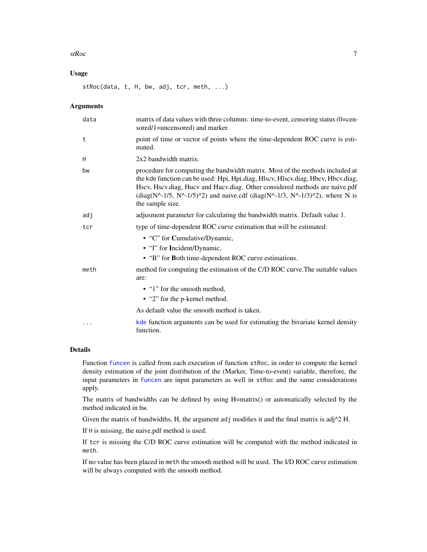#### <span id="page-6-0"></span>stRoc 7

# Usage

stRoc(data, t, H, bw, adj, tcr, meth, ...)

#### Arguments

| data | matrix of data values with three columns: time-to-event, censoring status (0=cen-<br>sored/1=uncensored) and marker.                                                                                                                                                                                                                                                                                                   |
|------|------------------------------------------------------------------------------------------------------------------------------------------------------------------------------------------------------------------------------------------------------------------------------------------------------------------------------------------------------------------------------------------------------------------------|
| t    | point of time or vector of points where the time-dependent ROC curve is esti-<br>mated.                                                                                                                                                                                                                                                                                                                                |
| H    | 2x2 bandwidth matrix.                                                                                                                                                                                                                                                                                                                                                                                                  |
| bw   | procedure for computing the bandwidth matrix. Most of the methods included at<br>the kde function can be used: Hpi, Hpi.diag, Hlscv, Hlscv.diag, Hbcv, Hbcv.diag,<br>Hscv, Hscv.diag, Hucv and Hucv.diag. Other considered methods are naive.pdf<br>$(\text{diag}(N^{\wedge}-1/5, N^{\wedge}-1/5)^{\wedge}2)$ and naive.cdf $(\text{diag}(N^{\wedge}-1/3, N^{\wedge}-1/3)^{\wedge}2)$ , where N is<br>the sample size. |
| adj  | adjusment parameter for calculating the bandwidth matrix. Default value 1.                                                                                                                                                                                                                                                                                                                                             |
| tcr  | type of time-dependent ROC curve estimation that will be estimated:                                                                                                                                                                                                                                                                                                                                                    |
|      | • "C" for Cumulative/Dynamic,                                                                                                                                                                                                                                                                                                                                                                                          |
|      | • "I" for Incident/Dynamic,                                                                                                                                                                                                                                                                                                                                                                                            |
|      | • "B" for Both time-dependent ROC curve estimations.                                                                                                                                                                                                                                                                                                                                                                   |
| meth | method for computing the estimation of the C/D ROC curve. The suitable values<br>are:                                                                                                                                                                                                                                                                                                                                  |
|      | • "1" for the smooth method,                                                                                                                                                                                                                                                                                                                                                                                           |
|      | • "2" for the p-kernel method.                                                                                                                                                                                                                                                                                                                                                                                         |
|      | As default value the smooth method is taken.                                                                                                                                                                                                                                                                                                                                                                           |
| .    | kde function arguments can be used for estimating the bivariate kernel density<br>function.                                                                                                                                                                                                                                                                                                                            |

## Details

Function [funcen](#page-2-1) is called from each execution of function stRoc, in order to compute the kernel density estimation of the joint distribution of the (Marker, Time-to-event) variable, therefore, the input parameters in [funcen](#page-2-1) are input parameters as well in stRoc and the same considerations apply.

The matrix of bandwidths can be defined by using H=matrix() or automatically selected by the method indicated in bw.

Given the matrix of bandwidths, H, the argument adj modifies it and the final matrix is adj^2 H.

If H is missing, the naive.pdf method is used.

If tcr is missing the C/D ROC curve estimation will be computed with the method indicated in meth.

If no value has been placed in meth the smooth method will be used. The I/D ROC curve estimation will be always computed with the smooth method.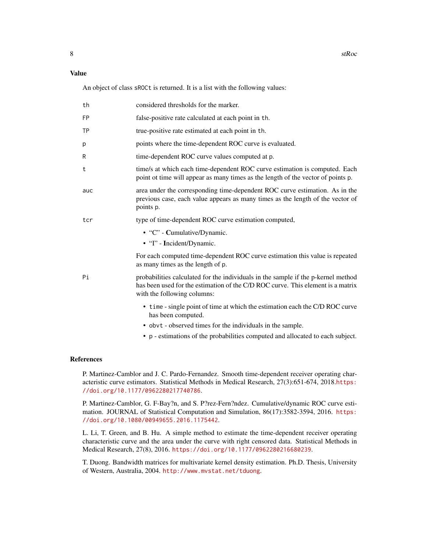#### Value

An object of class sROCt is returned. It is a list with the following values:

| th        | considered thresholds for the marker.                                                                                                                                                               |
|-----------|-----------------------------------------------------------------------------------------------------------------------------------------------------------------------------------------------------|
| <b>FP</b> | false-positive rate calculated at each point in th.                                                                                                                                                 |
| <b>TP</b> | true-positive rate estimated at each point in th.                                                                                                                                                   |
| p         | points where the time-dependent ROC curve is evaluated.                                                                                                                                             |
| R         | time-dependent ROC curve values computed at p.                                                                                                                                                      |
| t         | time/s at which each time-dependent ROC curve estimation is computed. Each<br>point ot time will appear as many times as the length of the vector of points p.                                      |
| auc       | area under the corresponding time-dependent ROC curve estimation. As in the<br>previous case, each value appears as many times as the length of the vector of<br>points p.                          |
| tcr       | type of time-dependent ROC curve estimation computed,                                                                                                                                               |
|           | • "C" - Cumulative/Dynamic.<br>• "I" - Incident/Dynamic.                                                                                                                                            |
|           | For each computed time-dependent ROC curve estimation this value is repeated<br>as many times as the length of p.                                                                                   |
| Pi        | probabilities calculated for the individuals in the sample if the p-kernel method<br>has been used for the estimation of the C/D ROC curve. This element is a matrix<br>with the following columns: |
|           | • time - single point of time at which the estimation each the C/D ROC curve<br>has been computed.                                                                                                  |
|           | • obvt - observed times for the individuals in the sample.                                                                                                                                          |
|           | • p - estimations of the probabilities computed and allocated to each subject.                                                                                                                      |

# References

P. Martinez-Camblor and J. C. Pardo-Fernandez. Smooth time-dependent receiver operating characteristic curve estimators. Statistical Methods in Medical Research, 27(3):651-674, 2018.[https:](https://doi.org/10.1177/0962280217740786) [//doi.org/10.1177/0962280217740786](https://doi.org/10.1177/0962280217740786).

P. Martinez-Camblor, G. F-Bay?n, and S. P?rez-Fern?ndez. Cumulative/dynamic ROC curve estimation. JOURNAL of Statistical Computation and Simulation, 86(17):3582-3594, 2016. [https:](https://doi.org/10.1080/00949655.2016.1175442) [//doi.org/10.1080/00949655.2016.1175442](https://doi.org/10.1080/00949655.2016.1175442).

L. Li, T. Green, and B. Hu. A simple method to estimate the time-dependent receiver operating characteristic curve and the area under the curve with right censored data. Statistical Methods in Medical Research, 27(8), 2016. <https://doi.org/10.1177/0962280216680239>.

T. Duong. Bandwidth matrices for multivariate kernel density estimation. Ph.D. Thesis, University of Western, Australia, 2004. <http://www.mvstat.net/tduong>.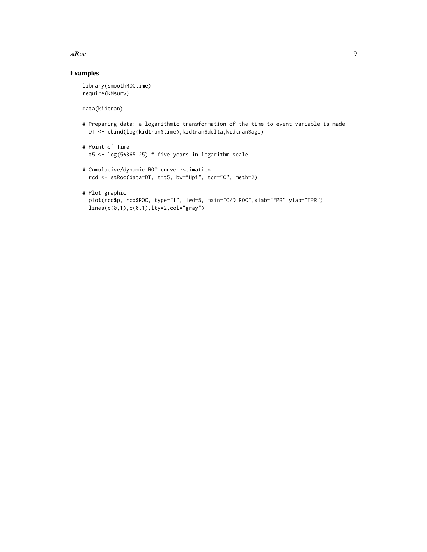stRoc 9

# Examples

library(smoothROCtime) require(KMsurv)

data(kidtran)

- # Preparing data: a logarithmic transformation of the time-to-event variable is made DT <- cbind(log(kidtran\$time),kidtran\$delta,kidtran\$age)
- # Point of Time t5 <- log(5\*365.25) # five years in logarithm scale
- # Cumulative/dynamic ROC curve estimation rcd <- stRoc(data=DT, t=t5, bw="Hpi", tcr="C", meth=2)
- # Plot graphic plot(rcd\$p, rcd\$ROC, type="l", lwd=5, main="C/D ROC",xlab="FPR",ylab="TPR") lines(c(0,1),c(0,1),lty=2,col="gray")